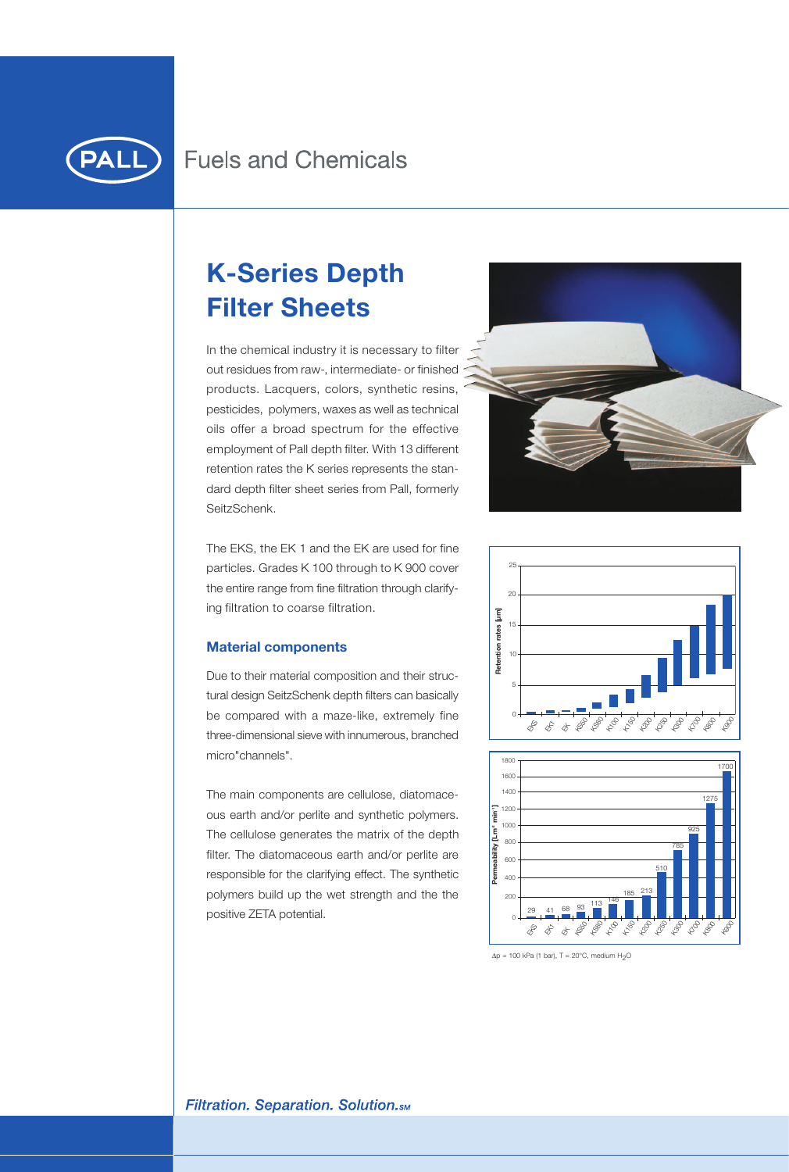

# **K-Series Depth Filter Sheets**

In the chemical industry it is necessary to filter out residues from raw-, intermediate- or finished products. Lacquers, colors, synthetic resins, pesticides, polymers, waxes as well as technical oils offer a broad spectrum for the effective employment of Pall depth filter. With 13 different retention rates the K series represents the standard depth filter sheet series from Pall, formerly SeitzSchenk.





Due to their material composition and their structural design SeitzSchenk depth filters can basically be compared with a maze-like, extremely fine three-dimensional sieve with innumerous, branched micro"channels".

The main components are cellulose, diatomaceous earth and/or perlite and synthetic polymers. The cellulose generates the matrix of the depth filter. The diatomaceous earth and/or perlite are responsible for the clarifying effect. The synthetic polymers build up the wet strength and the the positive ZETA potential.







 $\Delta p = 100$  kPa (1 bar), T = 20°C, medium H<sub>2</sub>O